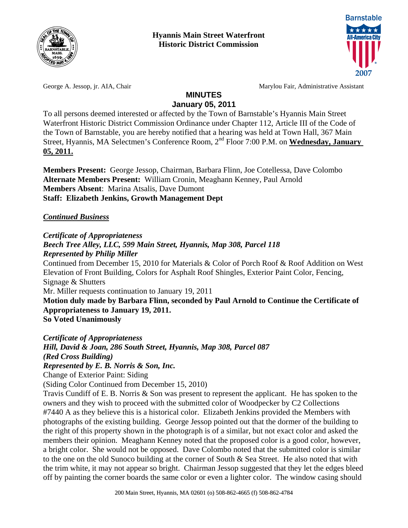



George A. Jessop, jr. AIA, Chair Marylou Fair, Administrative Assistant

#### **MINUTES January 05, 2011**

To all persons deemed interested or affected by the Town of Barnstable's Hyannis Main Street Waterfront Historic District Commission Ordinance under Chapter 112, Article III of the Code of the Town of Barnstable, you are hereby notified that a hearing was held at Town Hall, 367 Main Street, Hyannis, MA Selectmen's Conference Room, 2<sup>nd</sup> Floor 7:00 P.M. on **Wednesday, January 05, 2011.**

**Members Present:** George Jessop, Chairman, Barbara Flinn, Joe Cotellessa, Dave Colombo **Alternate Members Present:** William Cronin, Meaghann Kenney, Paul Arnold **Members Absent**: Marina Atsalis, Dave Dumont **Staff: Elizabeth Jenkins, Growth Management Dept** 

## *Continued Business*

*Certificate of Appropriateness* 

#### *Beech Tree Alley, LLC, 599 Main Street, Hyannis, Map 308, Parcel 118 Represented by Philip Miller*

Continued from December 15, 2010 for Materials & Color of Porch Roof & Roof Addition on West Elevation of Front Building, Colors for Asphalt Roof Shingles, Exterior Paint Color, Fencing, Signage & Shutters Mr. Miller requests continuation to January 19, 2011

**Motion duly made by Barbara Flinn, seconded by Paul Arnold to Continue the Certificate of Appropriateness to January 19, 2011. So Voted Unanimously** 

*Certificate of Appropriateness* 

*Hill, David & Joan, 286 South Street, Hyannis, Map 308, Parcel 087 (Red Cross Building)* 

*Represented by E. B. Norris & Son, Inc.* 

Change of Exterior Paint: Siding

(Siding Color Continued from December 15, 2010)

Travis Cundiff of E. B. Norris & Son was present to represent the applicant. He has spoken to the owners and they wish to proceed with the submitted color of Woodpecker by C2 Collections #7440 A as they believe this is a historical color. Elizabeth Jenkins provided the Members with photographs of the existing building. George Jessop pointed out that the dormer of the building to the right of this property shown in the photograph is of a similar, but not exact color and asked the members their opinion. Meaghann Kenney noted that the proposed color is a good color, however, a bright color. She would not be opposed. Dave Colombo noted that the submitted color is similar to the one on the old Sunoco building at the corner of South & Sea Street. He also noted that with the trim white, it may not appear so bright. Chairman Jessop suggested that they let the edges bleed off by painting the corner boards the same color or even a lighter color. The window casing should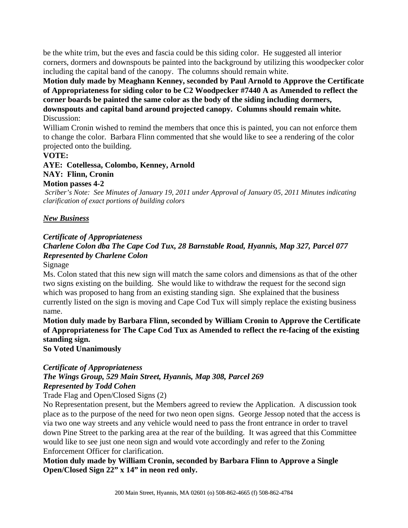be the white trim, but the eves and fascia could be this siding color. He suggested all interior corners, dormers and downspouts be painted into the background by utilizing this woodpecker color including the capital band of the canopy. The columns should remain white.

#### **Motion duly made by Meaghann Kenney, seconded by Paul Arnold to Approve the Certificate of Appropriateness for siding color to be C2 Woodpecker #7440 A as Amended to reflect the corner boards be painted the same color as the body of the siding including dormers, downspouts and capital band around projected canopy. Columns should remain white.**  Discussion:

William Cronin wished to remind the members that once this is painted, you can not enforce them to change the color. Barbara Flinn commented that she would like to see a rendering of the color projected onto the building.

#### **VOTE:**

**AYE: Cotellessa, Colombo, Kenney, Arnold NAY: Flinn, Cronin** 

# **Motion passes 4-2**

*Scriber's Note: See Minutes of January 19, 2011 under Approval of January 05, 2011 Minutes indicating clarification of exact portions of building colors* 

#### *New Business*

### *Certificate of Appropriateness*

# *Charlene Colon dba The Cape Cod Tux, 28 Barnstable Road, Hyannis, Map 327, Parcel 077 Represented by Charlene Colon*

Signage

Ms. Colon stated that this new sign will match the same colors and dimensions as that of the other two signs existing on the building. She would like to withdraw the request for the second sign which was proposed to hang from an existing standing sign. She explained that the business currently listed on the sign is moving and Cape Cod Tux will simply replace the existing business name.

**Motion duly made by Barbara Flinn, seconded by William Cronin to Approve the Certificate of Appropriateness for The Cape Cod Tux as Amended to reflect the re-facing of the existing standing sign.** 

**So Voted Unanimously** 

#### *Certificate of Appropriateness*

# *The Wings Group, 529 Main Street, Hyannis, Map 308, Parcel 269 Represented by Todd Cohen*

#### Trade Flag and Open/Closed Signs (2)

No Representation present, but the Members agreed to review the Application. A discussion took place as to the purpose of the need for two neon open signs. George Jessop noted that the access is via two one way streets and any vehicle would need to pass the front entrance in order to travel down Pine Street to the parking area at the rear of the building. It was agreed that this Committee would like to see just one neon sign and would vote accordingly and refer to the Zoning Enforcement Officer for clarification.

**Motion duly made by William Cronin, seconded by Barbara Flinn to Approve a Single Open/Closed Sign 22" x 14" in neon red only.**